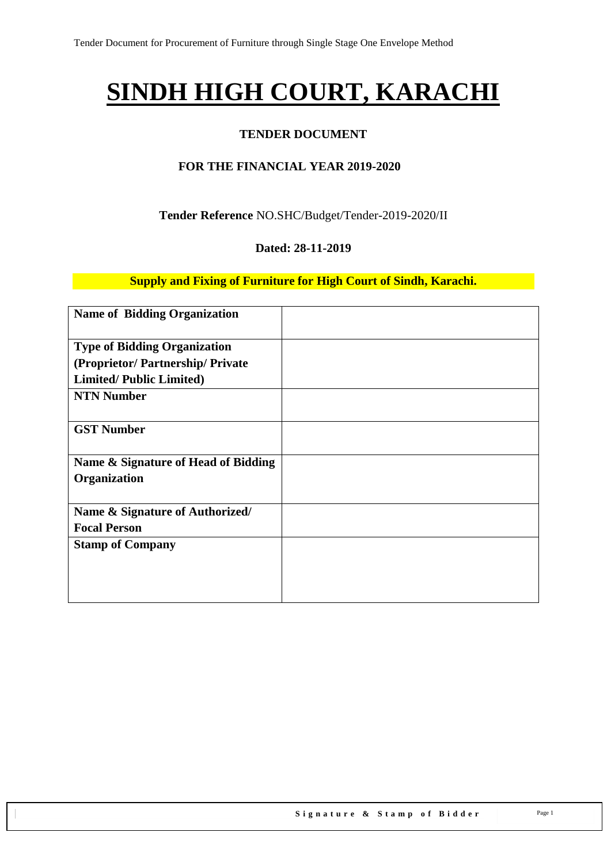# **SINDH HIGH COURT, KARACHI**

### **TENDER DOCUMENT**

### **FOR THE FINANCIAL YEAR 2019-2020**

**Tender Reference** NO.SHC/Budget/Tender-2019-2020/II

#### **Dated: 28-11-2019**

**Supply and Fixing of Furniture for High Court of Sindh, Karachi.**

| <b>Name of Bidding Organization</b>                 |  |
|-----------------------------------------------------|--|
| <b>Type of Bidding Organization</b>                 |  |
| (Proprietor/Partnership/Private                     |  |
| <b>Limited/Public Limited)</b>                      |  |
| <b>NTN Number</b>                                   |  |
| <b>GST Number</b>                                   |  |
| Name & Signature of Head of Bidding<br>Organization |  |
| Name & Signature of Authorized/                     |  |
| <b>Focal Person</b>                                 |  |
| <b>Stamp of Company</b>                             |  |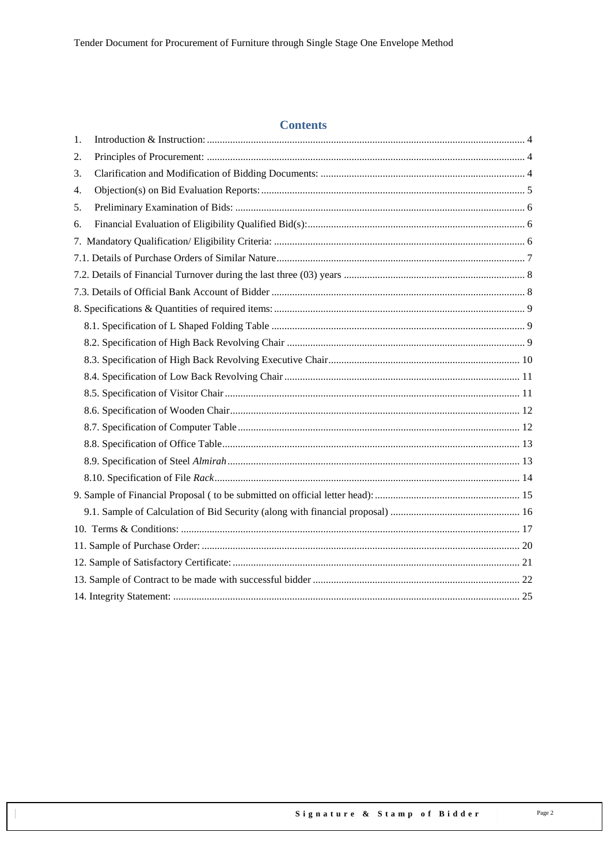### **Contents**

| 1. |  |
|----|--|
| 2. |  |
| 3. |  |
| 4. |  |
| 5. |  |
| 6. |  |
|    |  |
|    |  |
|    |  |
|    |  |
|    |  |
|    |  |
|    |  |
|    |  |
|    |  |
|    |  |
|    |  |
|    |  |
|    |  |
|    |  |
|    |  |
|    |  |
|    |  |
|    |  |
|    |  |
|    |  |
|    |  |
|    |  |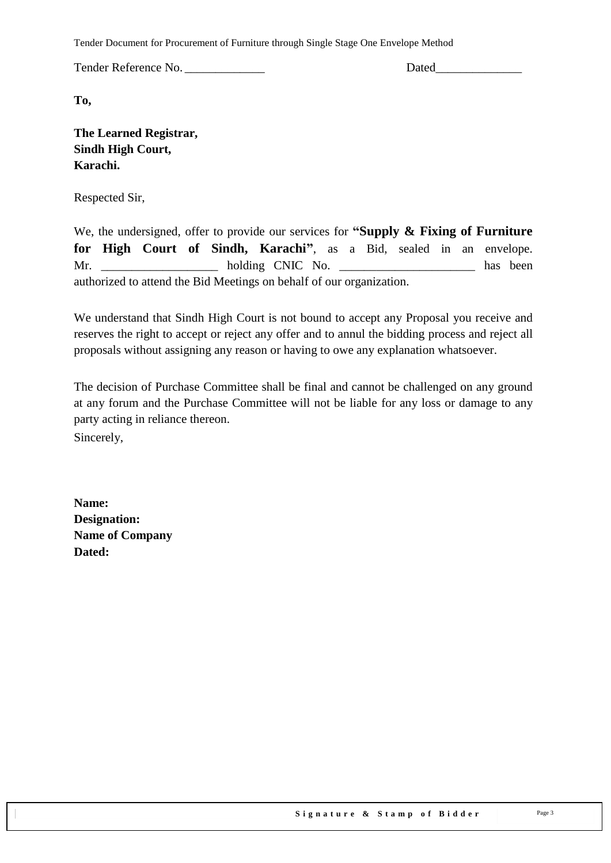Tender Document for Procurement of Furniture through Single Stage One Envelope Method

Tender Reference No. **Dated** 

**To,** 

| <b>The Learned Registrar,</b> |
|-------------------------------|
| <b>Sindh High Court,</b>      |
| Karachi.                      |

Respected Sir,

We, the undersigned, offer to provide our services for **"Supply & Fixing of Furniture for High Court of Sindh, Karachi"**, as a Bid, sealed in an envelope. Mr. holding CNIC No. has been authorized to attend the Bid Meetings on behalf of our organization.

We understand that Sindh High Court is not bound to accept any Proposal you receive and reserves the right to accept or reject any offer and to annul the bidding process and reject all proposals without assigning any reason or having to owe any explanation whatsoever.

The decision of Purchase Committee shall be final and cannot be challenged on any ground at any forum and the Purchase Committee will not be liable for any loss or damage to any party acting in reliance thereon.

Sincerely,

**Name: Designation: Name of Company Dated:**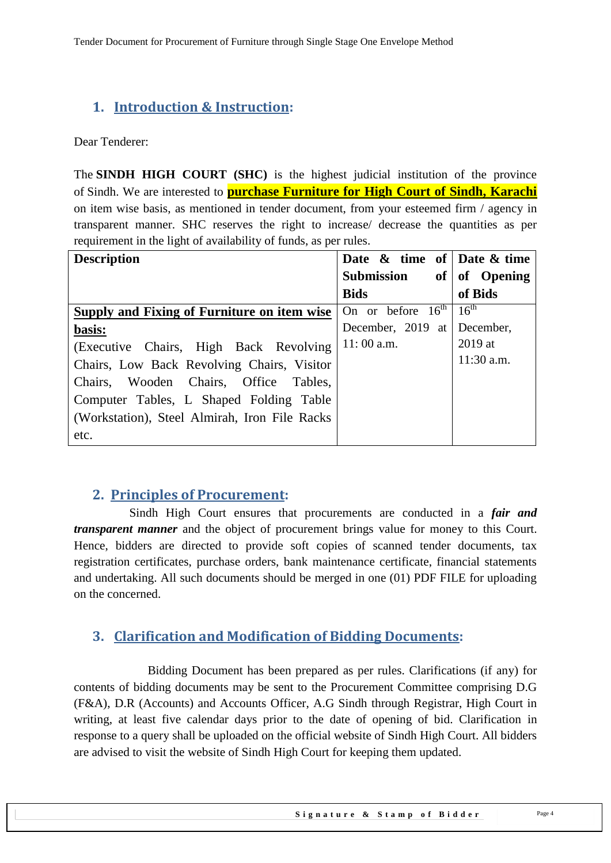# <span id="page-3-0"></span>**1. Introduction & Instruction:**

Dear Tenderer:

The **SINDH HIGH COURT (SHC)** is the highest judicial institution of the province of [Sindh.](https://en.wikipedia.org/wiki/Sindh) We are interested to **purchase Furniture for High Court of Sindh, Karachi** on item wise basis, as mentioned in tender document, from your esteemed firm / agency in transparent manner. SHC reserves the right to increase/ decrease the quantities as per requirement in the light of availability of funds, as per rules.

| <b>Description</b>                            | Date $\&$ time of Date $\&$ time |                  |
|-----------------------------------------------|----------------------------------|------------------|
|                                               | of <sub>1</sub><br>Submission    | of Opening       |
|                                               | <b>Bids</b>                      | of Bids          |
| Supply and Fixing of Furniture on item wise   | On or before $16^{th}$           | $16^{\text{th}}$ |
| basis:                                        | December, 2019 at                | December,        |
| (Executive Chairs, High Back Revolving)       | $11:00$ a.m.                     | $2019$ at        |
| Chairs, Low Back Revolving Chairs, Visitor    |                                  | $11:30$ a.m.     |
| Chairs, Wooden Chairs, Office Tables,         |                                  |                  |
| Computer Tables, L Shaped Folding Table       |                                  |                  |
| (Workstation), Steel Almirah, Iron File Racks |                                  |                  |
| etc.                                          |                                  |                  |

### <span id="page-3-1"></span>**2. Principles of Procurement:**

 Sindh High Court ensures that procurements are conducted in a *fair and transparent manner* and the object of procurement brings value for money to this Court. Hence, bidders are directed to provide soft copies of scanned tender documents, tax registration certificates, purchase orders, bank maintenance certificate, financial statements and undertaking. All such documents should be merged in one (01) PDF FILE for uploading on the concerned.

### <span id="page-3-2"></span>**3. Clarification and Modification of Bidding Documents:**

Bidding Document has been prepared as per rules. Clarifications (if any) for contents of bidding documents may be sent to the Procurement Committee comprising D.G (F&A), D.R (Accounts) and Accounts Officer, A.G Sindh through Registrar, High Court in writing, at least five calendar days prior to the date of opening of bid. Clarification in response to a query shall be uploaded on the official website of Sindh High Court. All bidders are advised to visit the website of Sindh High Court for keeping them updated.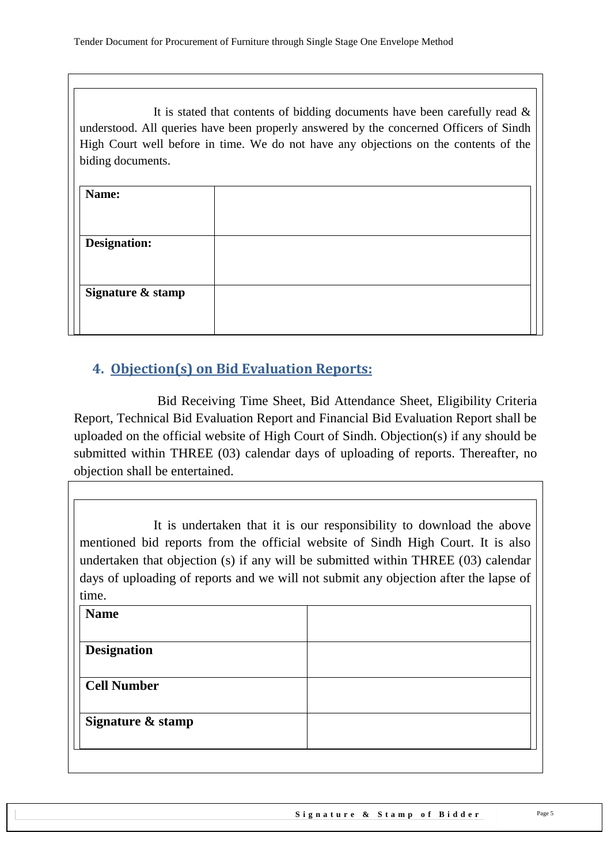It is stated that contents of bidding documents have been carefully read  $\&$ understood. All queries have been properly answered by the concerned Officers of Sindh High Court well before in time. We do not have any objections on the contents of the biding documents.

| Name:               |  |
|---------------------|--|
|                     |  |
| <b>Designation:</b> |  |
|                     |  |
| Signature & stamp   |  |
|                     |  |
|                     |  |

# <span id="page-4-0"></span>**4. Objection(s) on Bid Evaluation Reports:**

 Bid Receiving Time Sheet, Bid Attendance Sheet, Eligibility Criteria Report, Technical Bid Evaluation Report and Financial Bid Evaluation Report shall be uploaded on the official website of High Court of Sindh. Objection(s) if any should be submitted within THREE (03) calendar days of uploading of reports. Thereafter, no objection shall be entertained.

It is undertaken that it is our responsibility to download the above mentioned bid reports from the official website of Sindh High Court. It is also undertaken that objection (s) if any will be submitted within THREE (03) calendar days of uploading of reports and we will not submit any objection after the lapse of time.

| <b>Name</b>        |  |
|--------------------|--|
|                    |  |
| <b>Designation</b> |  |
| <b>Cell Number</b> |  |
| Signature & stamp  |  |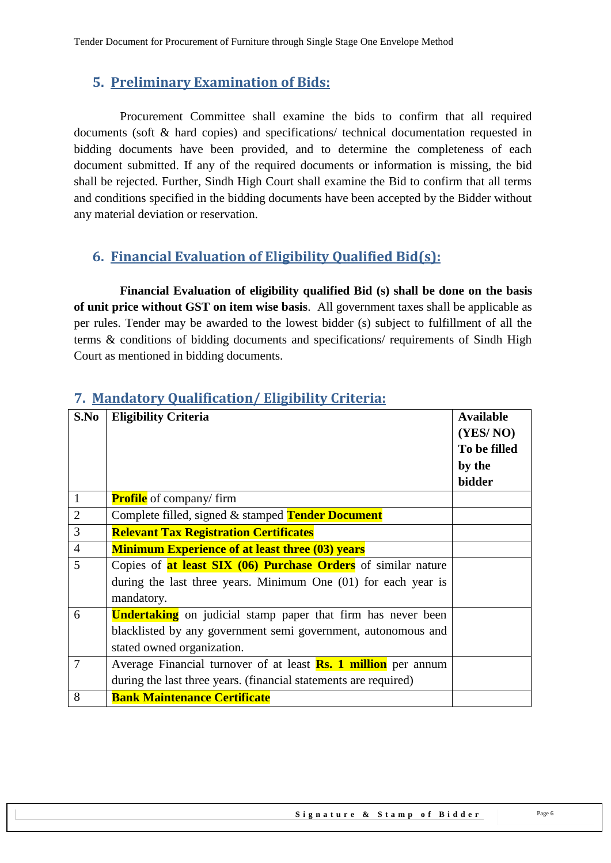### <span id="page-5-0"></span>**5. Preliminary Examination of Bids:**

 Procurement Committee shall examine the bids to confirm that all required documents (soft & hard copies) and specifications/ technical documentation requested in bidding documents have been provided, and to determine the completeness of each document submitted. If any of the required documents or information is missing, the bid shall be rejected. Further, Sindh High Court shall examine the Bid to confirm that all terms and conditions specified in the bidding documents have been accepted by the Bidder without any material deviation or reservation.

# <span id="page-5-1"></span>**6. Financial Evaluation of Eligibility Qualified Bid(s):**

 **Financial Evaluation of eligibility qualified Bid (s) shall be done on the basis of unit price without GST on item wise basis**. All government taxes shall be applicable as per rules. Tender may be awarded to the lowest bidder (s) subject to fulfillment of all the terms & conditions of bidding documents and specifications/ requirements of Sindh High Court as mentioned in bidding documents.

| S.No           | <b>Eligibility Criteria</b>                                           | <b>Available</b> |
|----------------|-----------------------------------------------------------------------|------------------|
|                |                                                                       | (YES/NO)         |
|                |                                                                       | To be filled     |
|                |                                                                       | by the           |
|                |                                                                       | bidder           |
| $\mathbf{1}$   | <b>Profile</b> of company/firm                                        |                  |
| $\overline{2}$ | Complete filled, signed & stamped Tender Document                     |                  |
| 3              | <b>Relevant Tax Registration Certificates</b>                         |                  |
| $\overline{4}$ | <b>Minimum Experience of at least three (03) years</b>                |                  |
| 5              | Copies of <b>at least SIX (06) Purchase Orders</b> of similar nature  |                  |
|                | during the last three years. Minimum One $(01)$ for each year is      |                  |
|                | mandatory.                                                            |                  |
| 6              | <b>Undertaking</b> on judicial stamp paper that firm has never been   |                  |
|                | blacklisted by any government semi government, autonomous and         |                  |
|                | stated owned organization.                                            |                  |
| $\overline{7}$ | Average Financial turnover of at least <b>Rs. 1 million</b> per annum |                  |
|                | during the last three years. (financial statements are required)      |                  |
| 8              | <b>Bank Maintenance Certificate</b>                                   |                  |

### <span id="page-5-2"></span>**7. Mandatory Qualification/ Eligibility Criteria:**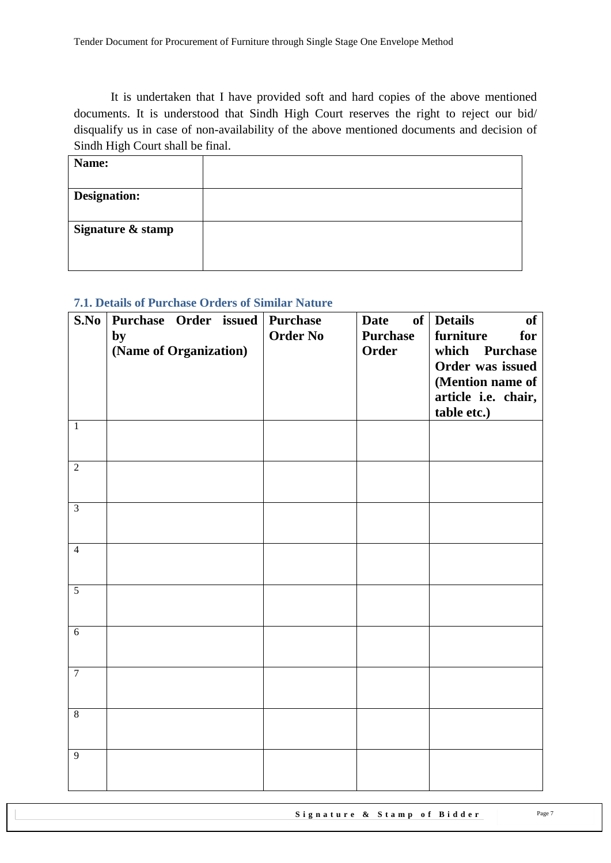It is undertaken that I have provided soft and hard copies of the above mentioned documents. It is understood that Sindh High Court reserves the right to reject our bid/ disqualify us in case of non-availability of the above mentioned documents and decision of Sindh High Court shall be final.

| Name:             |  |
|-------------------|--|
|                   |  |
| Designation:      |  |
|                   |  |
| Signature & stamp |  |
|                   |  |
|                   |  |

#### <span id="page-6-0"></span>**7.1. Details of Purchase Orders of Similar Nature**

| S.No           | Purchase Order issued<br>by<br>(Name of Organization) | <b>Purchase</b><br><b>Order No</b> | <b>Date</b><br><b>Purchase</b><br><b>Order</b> | of Details<br><b>of</b><br>furniture<br>for<br>which Purchase<br>Order was issued<br>(Mention name of<br>article i.e. chair,<br>table etc.) |
|----------------|-------------------------------------------------------|------------------------------------|------------------------------------------------|---------------------------------------------------------------------------------------------------------------------------------------------|
| $\mathbf{1}$   |                                                       |                                    |                                                |                                                                                                                                             |
| $\overline{2}$ |                                                       |                                    |                                                |                                                                                                                                             |
| $\overline{3}$ |                                                       |                                    |                                                |                                                                                                                                             |
| $\overline{4}$ |                                                       |                                    |                                                |                                                                                                                                             |
| $\overline{5}$ |                                                       |                                    |                                                |                                                                                                                                             |
| 6              |                                                       |                                    |                                                |                                                                                                                                             |
| $\overline{7}$ |                                                       |                                    |                                                |                                                                                                                                             |
| $\overline{8}$ |                                                       |                                    |                                                |                                                                                                                                             |
| $\overline{9}$ |                                                       |                                    |                                                |                                                                                                                                             |

Signature & Stamp of Bidder Page 7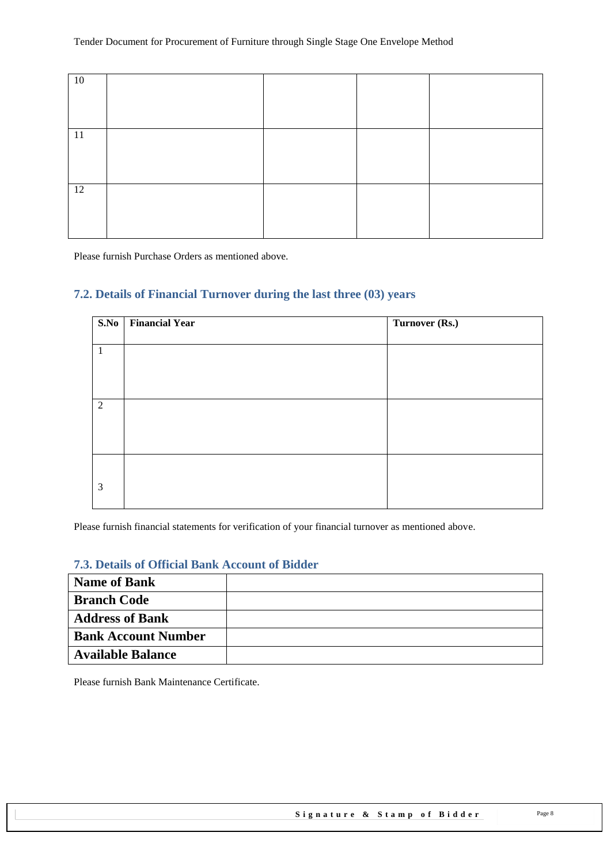| 10            |  |  |
|---------------|--|--|
|               |  |  |
|               |  |  |
|               |  |  |
|               |  |  |
| <sup>11</sup> |  |  |
|               |  |  |
|               |  |  |
|               |  |  |
|               |  |  |
| 12            |  |  |
|               |  |  |
|               |  |  |
|               |  |  |
|               |  |  |

<span id="page-7-0"></span>Please furnish Purchase Orders as mentioned above.

#### **7.2. Details of Financial Turnover during the last three (03) years**

| S.No         | <b>Financial Year</b> | Turnover (Rs.) |
|--------------|-----------------------|----------------|
| $\mathbf{1}$ |                       |                |
| 2            |                       |                |
| 3            |                       |                |

<span id="page-7-1"></span>Please furnish financial statements for verification of your financial turnover as mentioned above.

#### **7.3. Details of Official Bank Account of Bidder**

| <b>Name of Bank</b>        |  |
|----------------------------|--|
| <b>Branch Code</b>         |  |
| <b>Address of Bank</b>     |  |
| <b>Bank Account Number</b> |  |
| <b>Available Balance</b>   |  |

Please furnish Bank Maintenance Certificate.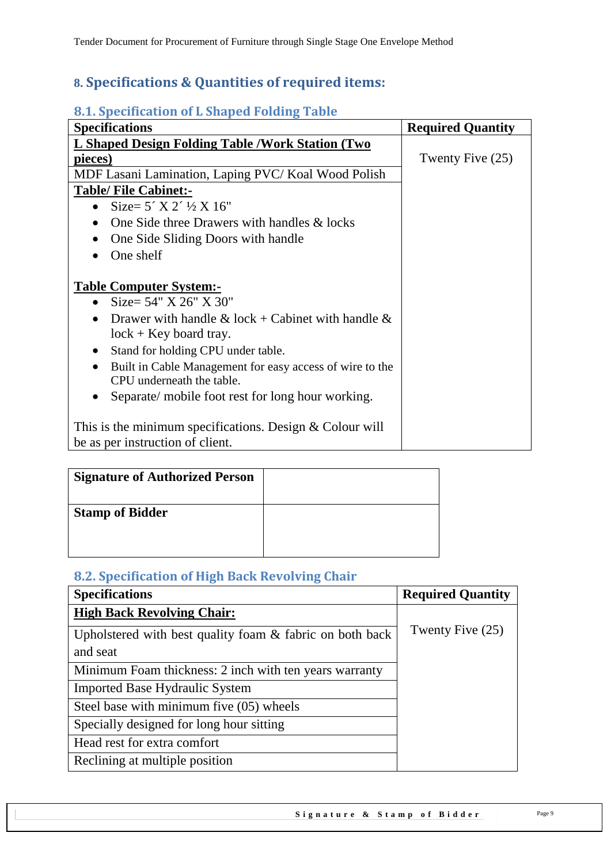# <span id="page-8-0"></span>**8. Specifications & Quantities of required items:**

### <span id="page-8-1"></span>**8.1. Specification of L Shaped Folding Table**

| <b>Specifications</b>                                                 | <b>Required Quantity</b> |
|-----------------------------------------------------------------------|--------------------------|
| L Shaped Design Folding Table / Work Station (Two                     |                          |
| pieces)                                                               | Twenty Five (25)         |
| MDF Lasani Lamination, Laping PVC/Koal Wood Polish                    |                          |
| <b>Table/ File Cabinet:-</b>                                          |                          |
| Size= $5'$ X 2' $\frac{1}{2}$ X 16"<br>$\bullet$                      |                          |
| One Side three Drawers with handles & locks<br>$\bullet$              |                          |
| One Side Sliding Doors with handle<br>$\bullet$                       |                          |
| One shelf                                                             |                          |
|                                                                       |                          |
| <b>Table Computer System:-</b>                                        |                          |
| Size = $54" X 26" X 30"$<br>$\bullet$                                 |                          |
| Drawer with handle & lock + Cabinet with handle &<br>$\bullet$        |                          |
| $lock + Key board tray.$                                              |                          |
| Stand for holding CPU under table.<br>$\bullet$                       |                          |
| Built in Cable Management for easy access of wire to the<br>$\bullet$ |                          |
| CPU underneath the table.                                             |                          |
| Separate/ mobile foot rest for long hour working.<br>$\bullet$        |                          |
|                                                                       |                          |
| This is the minimum specifications. Design $&$ Colour will            |                          |
| be as per instruction of client.                                      |                          |

| <b>Signature of Authorized Person</b> |  |
|---------------------------------------|--|
| <b>Stamp of Bidder</b>                |  |

### <span id="page-8-2"></span>**8.2. Specification of High Back Revolving Chair**

| <b>Specifications</b>                                       | <b>Required Quantity</b> |
|-------------------------------------------------------------|--------------------------|
| <b>High Back Revolving Chair:</b>                           |                          |
| Upholstered with best quality foam $\&$ fabric on both back | Twenty Five $(25)$       |
| and seat                                                    |                          |
| Minimum Foam thickness: 2 inch with ten years warranty      |                          |
| <b>Imported Base Hydraulic System</b>                       |                          |
| Steel base with minimum five (05) wheels                    |                          |
| Specially designed for long hour sitting                    |                          |
| Head rest for extra comfort                                 |                          |
| Reclining at multiple position                              |                          |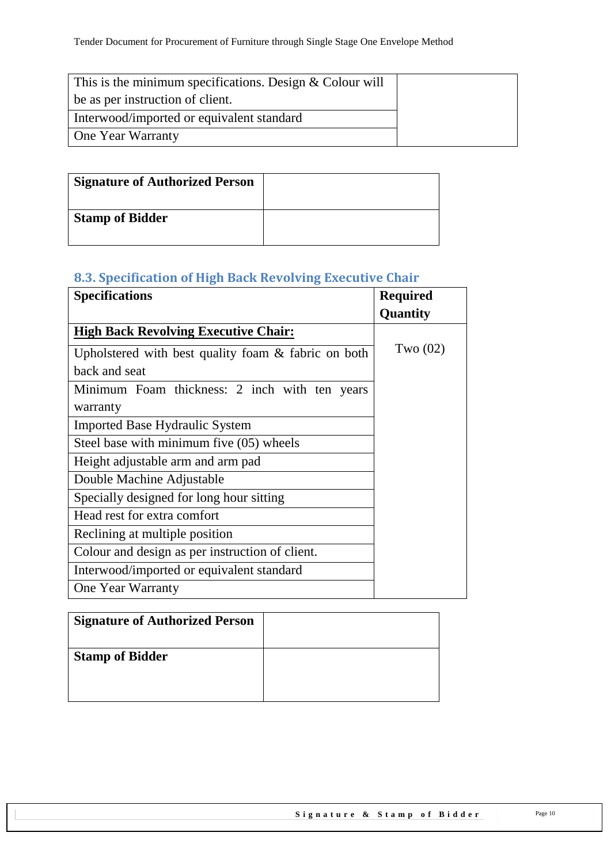| This is the minimum specifications. Design $&$ Colour will |  |
|------------------------------------------------------------|--|
| be as per instruction of client.                           |  |
| Interwood/imported or equivalent standard                  |  |
| <b>One Year Warranty</b>                                   |  |

| <b>Signature of Authorized Person</b> |  |
|---------------------------------------|--|
| <b>Stamp of Bidder</b>                |  |

# <span id="page-9-0"></span>**8.3. Specification of High Back Revolving Executive Chair**

| <b>Specifications</b>                               | <b>Required</b> |
|-----------------------------------------------------|-----------------|
|                                                     | <b>Quantity</b> |
| <b>High Back Revolving Executive Chair:</b>         |                 |
| Upholstered with best quality foam & fabric on both | Two $(02)$      |
| back and seat                                       |                 |
| Minimum Foam thickness: 2 inch with ten years       |                 |
| warranty                                            |                 |
| <b>Imported Base Hydraulic System</b>               |                 |
| Steel base with minimum five (05) wheels            |                 |
| Height adjustable arm and arm pad                   |                 |
| Double Machine Adjustable                           |                 |
| Specially designed for long hour sitting            |                 |
| Head rest for extra comfort                         |                 |
| Reclining at multiple position                      |                 |
| Colour and design as per instruction of client.     |                 |
| Interwood/imported or equivalent standard           |                 |
| One Year Warranty                                   |                 |

| <b>Signature of Authorized Person</b> |  |
|---------------------------------------|--|
| <b>Stamp of Bidder</b>                |  |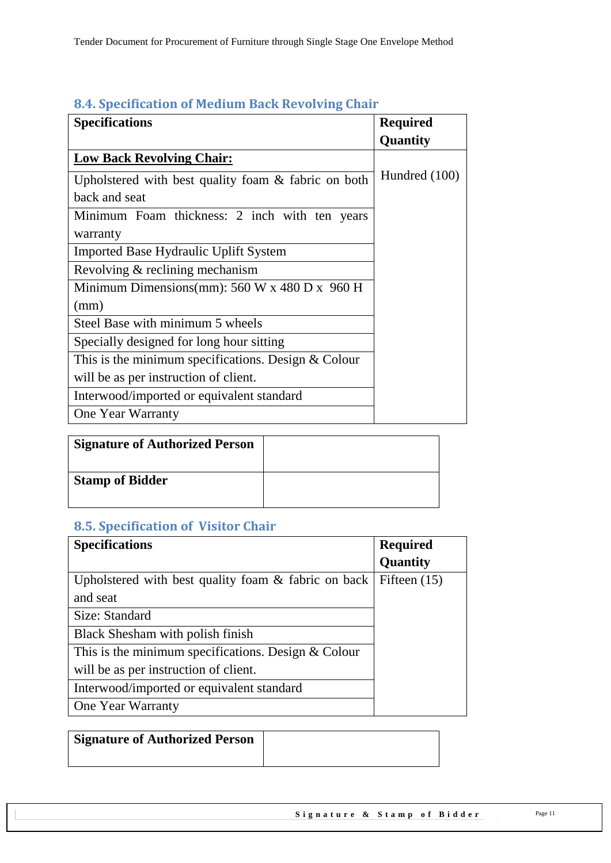| <b>Specifications</b>                                 | <b>Required</b> |
|-------------------------------------------------------|-----------------|
|                                                       | Quantity        |
| <b>Low Back Revolving Chair:</b>                      |                 |
| Upholstered with best quality foam & fabric on both   | Hundred (100)   |
| back and seat                                         |                 |
| Minimum Foam thickness: 2 inch with ten years         |                 |
| warranty                                              |                 |
| <b>Imported Base Hydraulic Uplift System</b>          |                 |
| Revolving & reclining mechanism                       |                 |
| Minimum Dimensions(mm): $560 W x 480 D x 960 H$       |                 |
| (mm)                                                  |                 |
| Steel Base with minimum 5 wheels                      |                 |
| Specially designed for long hour sitting              |                 |
| This is the minimum specifications. Design $&$ Colour |                 |
| will be as per instruction of client.                 |                 |
| Interwood/imported or equivalent standard             |                 |
| One Year Warranty                                     |                 |

### <span id="page-10-0"></span>**8.4. Specification of Medium Back Revolving Chair**

| <b>Signature of Authorized Person</b> |  |
|---------------------------------------|--|
| <b>Stamp of Bidder</b>                |  |

# <span id="page-10-1"></span>**8.5. Specification of Visitor Chair**

| <b>Specifications</b>                                 | <b>Required</b> |
|-------------------------------------------------------|-----------------|
|                                                       | <b>Quantity</b> |
| Upholstered with best quality foam & fabric on back   | Fifteen $(15)$  |
| and seat                                              |                 |
| Size: Standard                                        |                 |
| Black Shesham with polish finish                      |                 |
| This is the minimum specifications. Design $&$ Colour |                 |
| will be as per instruction of client.                 |                 |
| Interwood/imported or equivalent standard             |                 |
| <b>One Year Warranty</b>                              |                 |

| <b>Signature of Authorized Person</b> |  |
|---------------------------------------|--|
|                                       |  |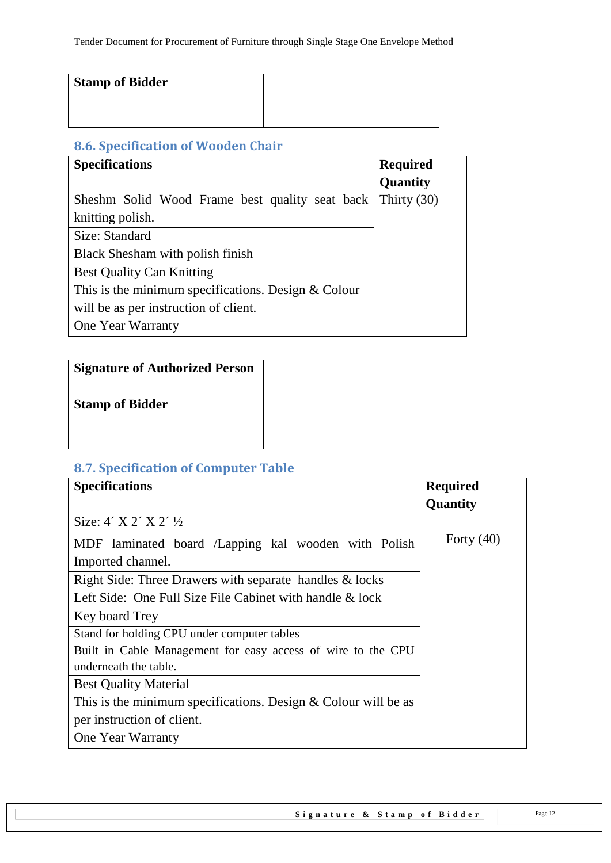| <b>Stamp of Bidder</b> |  |
|------------------------|--|
|                        |  |
|                        |  |

# <span id="page-11-0"></span>**8.6. Specification of Wooden Chair**

| <b>Specifications</b>                                 | <b>Required</b> |
|-------------------------------------------------------|-----------------|
|                                                       | Quantity        |
| Sheshm Solid Wood Frame best quality seat back        | Thirty $(30)$   |
| knitting polish.                                      |                 |
| Size: Standard                                        |                 |
| Black Shesham with polish finish                      |                 |
| <b>Best Quality Can Knitting</b>                      |                 |
| This is the minimum specifications. Design $&$ Colour |                 |
| will be as per instruction of client.                 |                 |
| One Year Warranty                                     |                 |

| <b>Signature of Authorized Person</b> |  |
|---------------------------------------|--|
| <b>Stamp of Bidder</b>                |  |

# <span id="page-11-1"></span>**8.7. Specification of Computer Table**

| <b>Specifications</b>                                            | <b>Required</b> |
|------------------------------------------------------------------|-----------------|
|                                                                  | Quantity        |
| Size: $4'$ X 2' X 2' $\frac{1}{2}$                               |                 |
| MDF laminated board /Lapping kal wooden with Polish              | Forty $(40)$    |
| Imported channel.                                                |                 |
| Right Side: Three Drawers with separate handles & locks          |                 |
| Left Side: One Full Size File Cabinet with handle & lock         |                 |
| Key board Trey                                                   |                 |
| Stand for holding CPU under computer tables                      |                 |
| Built in Cable Management for easy access of wire to the CPU     |                 |
| underneath the table.                                            |                 |
| <b>Best Quality Material</b>                                     |                 |
| This is the minimum specifications. Design $&$ Colour will be as |                 |
| per instruction of client.                                       |                 |
| <b>One Year Warranty</b>                                         |                 |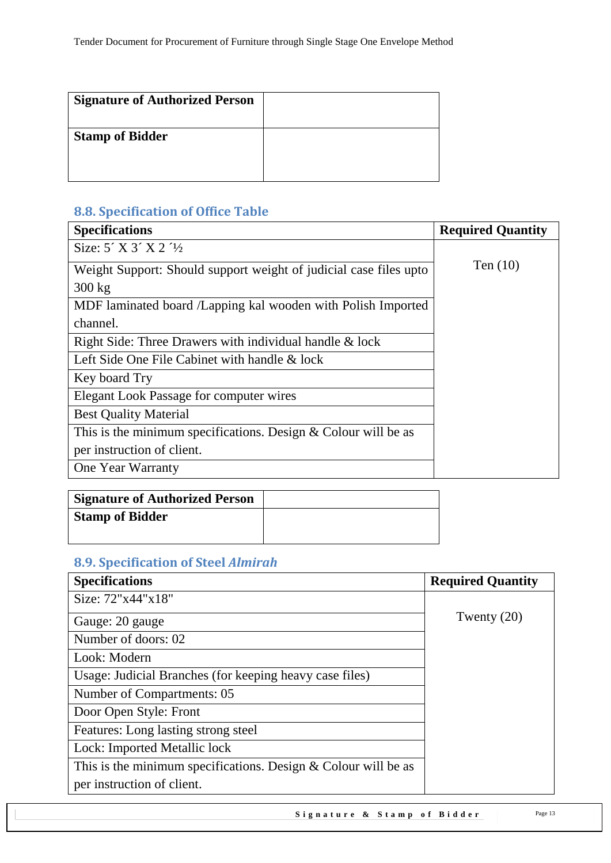| <b>Signature of Authorized Person</b> |  |
|---------------------------------------|--|
| <b>Stamp of Bidder</b>                |  |

# <span id="page-12-0"></span>**8.8. Specification of Office Table**

| <b>Specifications</b>                                             | <b>Required Quantity</b> |
|-------------------------------------------------------------------|--------------------------|
| Size: $5'$ X $3'$ X $2'$ $\frac{1}{2}$                            |                          |
| Weight Support: Should support weight of judicial case files upto | Ten $(10)$               |
| $300 \text{ kg}$                                                  |                          |
| MDF laminated board /Lapping kal wooden with Polish Imported      |                          |
| channel.                                                          |                          |
| Right Side: Three Drawers with individual handle & lock           |                          |
| Left Side One File Cabinet with handle & lock                     |                          |
| Key board Try                                                     |                          |
| Elegant Look Passage for computer wires                           |                          |
| <b>Best Quality Material</b>                                      |                          |
| This is the minimum specifications. Design $&$ Colour will be as  |                          |
| per instruction of client.                                        |                          |
| <b>One Year Warranty</b>                                          |                          |

| <b>Signature of Authorized Person</b> |  |
|---------------------------------------|--|
| <b>Stamp of Bidder</b>                |  |
|                                       |  |

# <span id="page-12-1"></span>**8.9. Specification of Steel** *Almirah*

| <b>Specifications</b>                                            | <b>Required Quantity</b> |
|------------------------------------------------------------------|--------------------------|
| Size: 72"x44"x18"                                                |                          |
| Gauge: 20 gauge                                                  | Twenty $(20)$            |
| Number of doors: 02                                              |                          |
| Look: Modern                                                     |                          |
| Usage: Judicial Branches (for keeping heavy case files)          |                          |
| Number of Compartments: 05                                       |                          |
| Door Open Style: Front                                           |                          |
| Features: Long lasting strong steel                              |                          |
| Lock: Imported Metallic lock                                     |                          |
| This is the minimum specifications. Design $&$ Colour will be as |                          |
| per instruction of client.                                       |                          |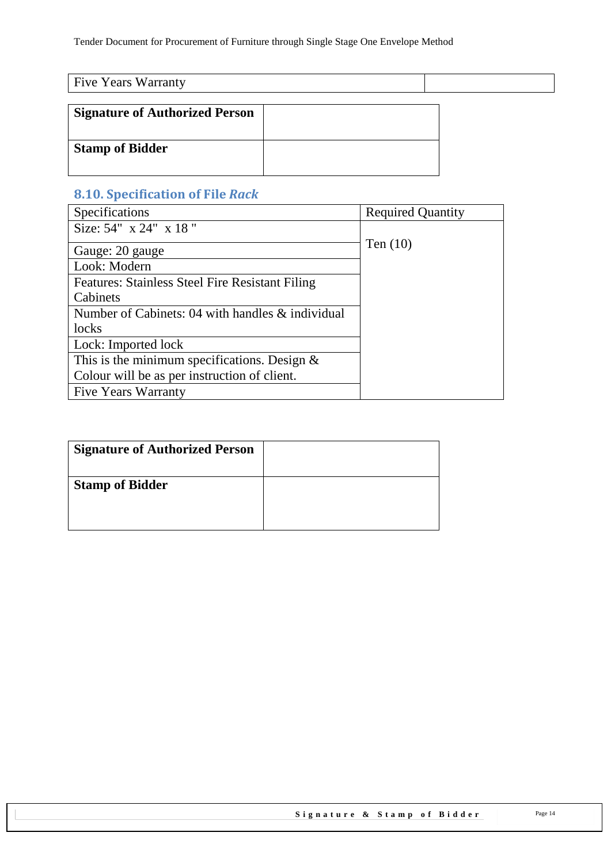| <b>Five Years Warranty</b>            |  |  |
|---------------------------------------|--|--|
| <b>Signature of Authorized Person</b> |  |  |
| <b>Stamp of Bidder</b>                |  |  |

# <span id="page-13-0"></span>**8.10. Specification of File** *Rack*

| Specifications                                         | <b>Required Quantity</b> |
|--------------------------------------------------------|--------------------------|
| Size: 54" x 24" x 18"                                  |                          |
| Gauge: 20 gauge                                        | Ten $(10)$               |
| Look: Modern                                           |                          |
| <b>Features: Stainless Steel Fire Resistant Filing</b> |                          |
| Cabinets                                               |                          |
| Number of Cabinets: 04 with handles & individual       |                          |
| locks                                                  |                          |
| Lock: Imported lock                                    |                          |
| This is the minimum specifications. Design $\&$        |                          |
| Colour will be as per instruction of client.           |                          |
| <b>Five Years Warranty</b>                             |                          |

| <b>Signature of Authorized Person</b> |  |
|---------------------------------------|--|
| <b>Stamp of Bidder</b>                |  |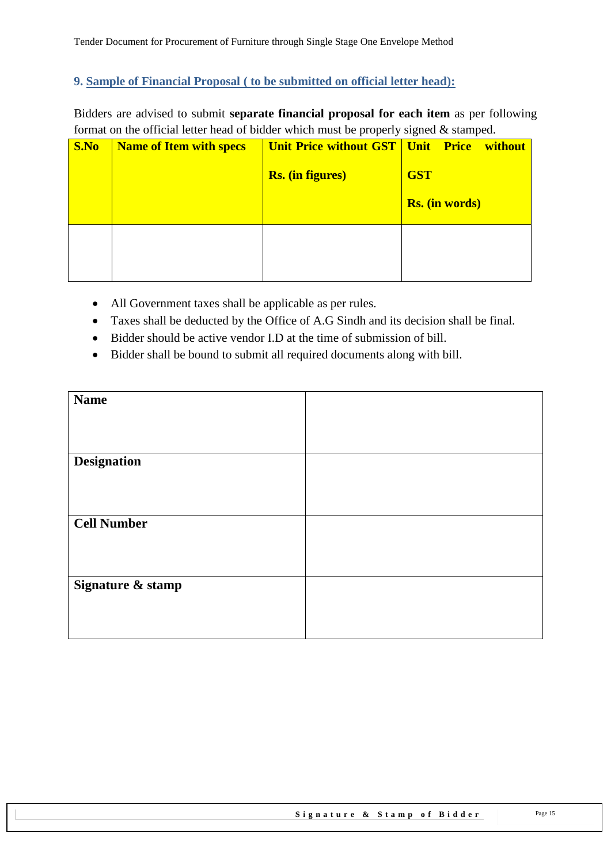#### <span id="page-14-0"></span>**9. Sample of Financial Proposal ( to be submitted on official letter head):**

Bidders are advised to submit **separate financial proposal for each item** as per following format on the official letter head of bidder which must be properly signed  $\&$  stamped.

| S.No | <b>Name of Item with specs</b> | <b>Unit Price without GST   Unit Price without</b><br><b>Rs.</b> (in figures) | <b>GST</b> | <b>Rs.</b> (in words) |  |
|------|--------------------------------|-------------------------------------------------------------------------------|------------|-----------------------|--|
|      |                                |                                                                               |            |                       |  |

- All Government taxes shall be applicable as per rules.
- Taxes shall be deducted by the Office of A.G Sindh and its decision shall be final.
- Bidder should be active vendor I.D at the time of submission of bill.
- Bidder shall be bound to submit all required documents along with bill.

| <b>Name</b>        |  |
|--------------------|--|
|                    |  |
|                    |  |
| <b>Designation</b> |  |
|                    |  |
| <b>Cell Number</b> |  |
|                    |  |
|                    |  |
| Signature & stamp  |  |
|                    |  |
|                    |  |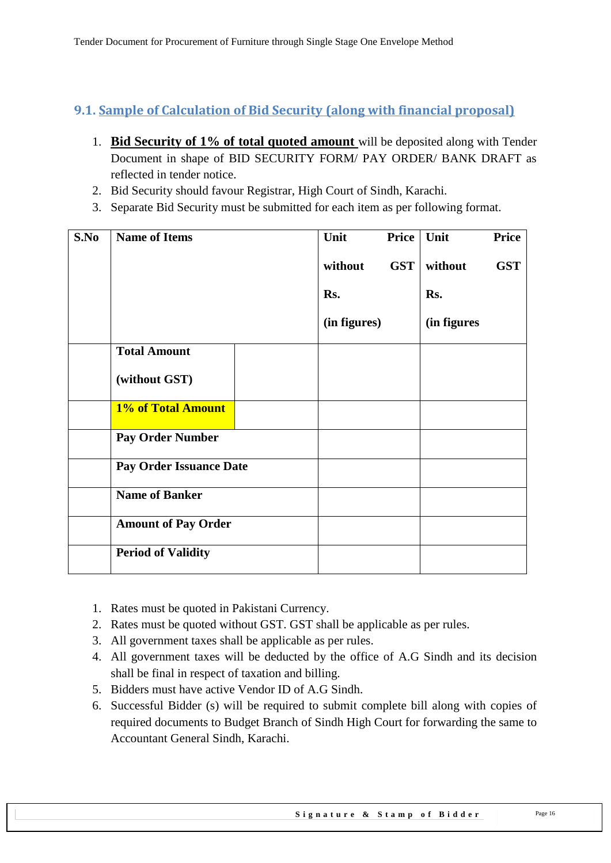### <span id="page-15-0"></span>**9.1. Sample of Calculation of Bid Security (along with financial proposal)**

- 1. **Bid Security of 1% of total quoted amount** will be deposited along with Tender Document in shape of BID SECURITY FORM/ PAY ORDER/ BANK DRAFT as reflected in tender notice.
- 2. Bid Security should favour Registrar, High Court of Sindh, Karachi.
- 3. Separate Bid Security must be submitted for each item as per following format.

| S.No | <b>Name of Items</b>           | Unit         | Price Unit |             | <b>Price</b> |
|------|--------------------------------|--------------|------------|-------------|--------------|
|      |                                | without      | <b>GST</b> | without     | <b>GST</b>   |
|      |                                | Rs.          |            | Rs.         |              |
|      |                                | (in figures) |            | (in figures |              |
|      | <b>Total Amount</b>            |              |            |             |              |
|      | (without GST)                  |              |            |             |              |
|      | 1% of Total Amount             |              |            |             |              |
|      | <b>Pay Order Number</b>        |              |            |             |              |
|      | <b>Pay Order Issuance Date</b> |              |            |             |              |
|      | <b>Name of Banker</b>          |              |            |             |              |
|      | <b>Amount of Pay Order</b>     |              |            |             |              |
|      | <b>Period of Validity</b>      |              |            |             |              |

- 1. Rates must be quoted in Pakistani Currency.
- 2. Rates must be quoted without GST. GST shall be applicable as per rules.
- 3. All government taxes shall be applicable as per rules.
- 4. All government taxes will be deducted by the office of A.G Sindh and its decision shall be final in respect of taxation and billing.
- 5. Bidders must have active Vendor ID of A.G Sindh.
- 6. Successful Bidder (s) will be required to submit complete bill along with copies of required documents to Budget Branch of Sindh High Court for forwarding the same to Accountant General Sindh, Karachi.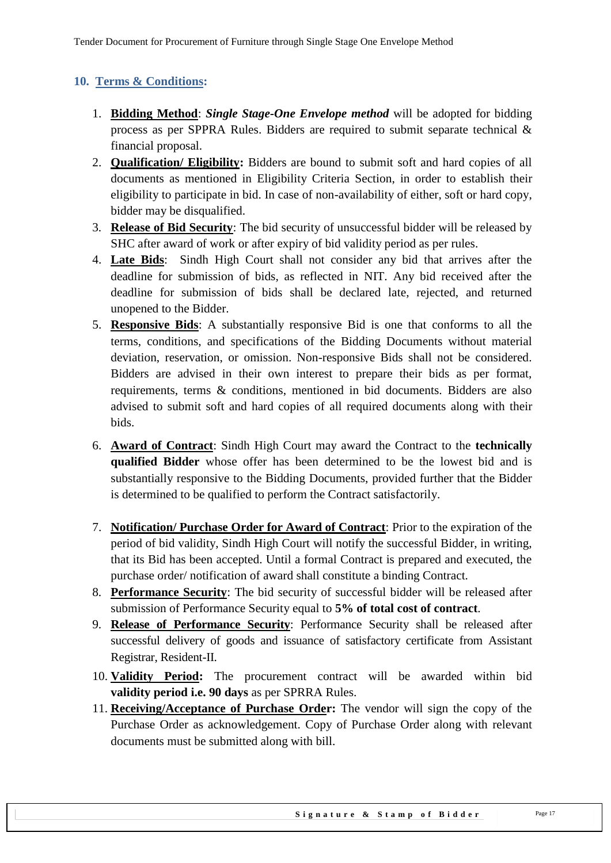### <span id="page-16-0"></span>**10. Terms & Conditions:**

- 1. **Bidding Method**: *Single Stage-One Envelope method* will be adopted for bidding process as per SPPRA Rules. Bidders are required to submit separate technical & financial proposal.
- 2. **Qualification/ Eligibility:** Bidders are bound to submit soft and hard copies of all documents as mentioned in Eligibility Criteria Section, in order to establish their eligibility to participate in bid. In case of non-availability of either, soft or hard copy, bidder may be disqualified.
- 3. **Release of Bid Security**: The bid security of unsuccessful bidder will be released by SHC after award of work or after expiry of bid validity period as per rules.
- 4. **Late Bids**: Sindh High Court shall not consider any bid that arrives after the deadline for submission of bids, as reflected in NIT. Any bid received after the deadline for submission of bids shall be declared late, rejected, and returned unopened to the Bidder.
- 5. **Responsive Bids**: A substantially responsive Bid is one that conforms to all the terms, conditions, and specifications of the Bidding Documents without material deviation, reservation, or omission. Non-responsive Bids shall not be considered. Bidders are advised in their own interest to prepare their bids as per format, requirements, terms & conditions, mentioned in bid documents. Bidders are also advised to submit soft and hard copies of all required documents along with their bids.
- 6. **Award of Contract**: Sindh High Court may award the Contract to the **technically qualified Bidder** whose offer has been determined to be the lowest bid and is substantially responsive to the Bidding Documents, provided further that the Bidder is determined to be qualified to perform the Contract satisfactorily.
- 7. **Notification/ Purchase Order for Award of Contract**: Prior to the expiration of the period of bid validity, Sindh High Court will notify the successful Bidder, in writing, that its Bid has been accepted. Until a formal Contract is prepared and executed, the purchase order/ notification of award shall constitute a binding Contract.
- 8. **Performance Security**: The bid security of successful bidder will be released after submission of Performance Security equal to **5% of total cost of contract**.
- 9. **Release of Performance Security**: Performance Security shall be released after successful delivery of goods and issuance of satisfactory certificate from Assistant Registrar, Resident-II.
- 10. **Validity Period:** The procurement contract will be awarded within bid **validity period i.e. 90 days** as per SPRRA Rules.
- 11. **Receiving/Acceptance of Purchase Order:** The vendor will sign the copy of the Purchase Order as acknowledgement. Copy of Purchase Order along with relevant documents must be submitted along with bill.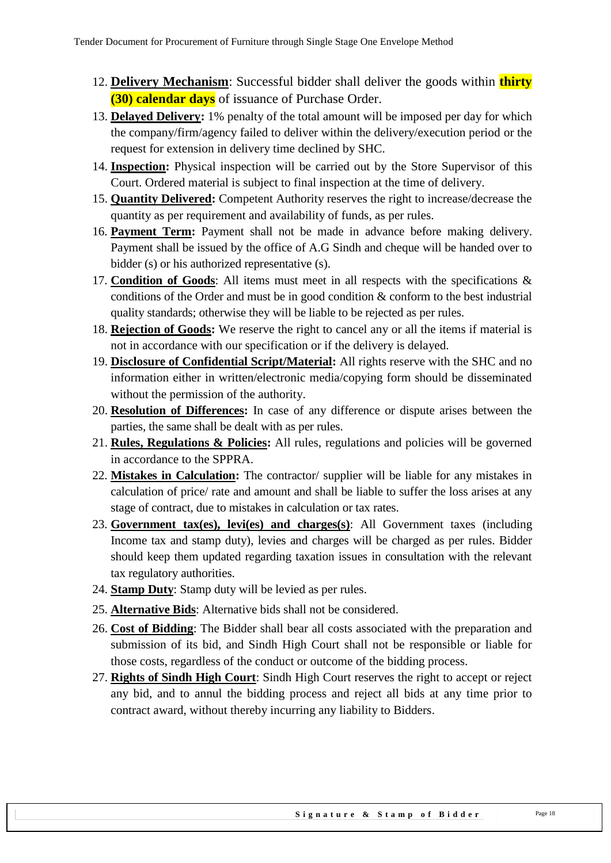- 12. **Delivery Mechanism**: Successful bidder shall deliver the goods within **thirty (30) calendar days** of issuance of Purchase Order.
- 13. **Delayed Delivery:** 1% penalty of the total amount will be imposed per day for which the company/firm/agency failed to deliver within the delivery/execution period or the request for extension in delivery time declined by SHC.
- 14. **Inspection:** Physical inspection will be carried out by the Store Supervisor of this Court. Ordered material is subject to final inspection at the time of delivery.
- 15. **Quantity Delivered:** Competent Authority reserves the right to increase/decrease the quantity as per requirement and availability of funds, as per rules.
- 16. **Payment Term:** Payment shall not be made in advance before making delivery. Payment shall be issued by the office of A.G Sindh and cheque will be handed over to bidder (s) or his authorized representative (s).
- 17. **Condition of Goods**: All items must meet in all respects with the specifications & conditions of the Order and must be in good condition & conform to the best industrial quality standards; otherwise they will be liable to be rejected as per rules.
- 18. **Rejection of Goods:** We reserve the right to cancel any or all the items if material is not in accordance with our specification or if the delivery is delayed.
- 19. **Disclosure of Confidential Script/Material:** All rights reserve with the SHC and no information either in written/electronic media/copying form should be disseminated without the permission of the authority.
- 20. **Resolution of Differences:** In case of any difference or dispute arises between the parties, the same shall be dealt with as per rules.
- 21. **Rules, Regulations & Policies:** All rules, regulations and policies will be governed in accordance to the SPPRA.
- 22. **Mistakes in Calculation:** The contractor/ supplier will be liable for any mistakes in calculation of price/ rate and amount and shall be liable to suffer the loss arises at any stage of contract, due to mistakes in calculation or tax rates.
- 23. **Government tax(es), levi(es) and charges(s)**: All Government taxes (including Income tax and stamp duty), levies and charges will be charged as per rules. Bidder should keep them updated regarding taxation issues in consultation with the relevant tax regulatory authorities.
- 24. **Stamp Duty**: Stamp duty will be levied as per rules.
- 25. **Alternative Bids**: Alternative bids shall not be considered.
- 26. **Cost of Bidding**: The Bidder shall bear all costs associated with the preparation and submission of its bid, and Sindh High Court shall not be responsible or liable for those costs, regardless of the conduct or outcome of the bidding process.
- 27. **Rights of Sindh High Court**: Sindh High Court reserves the right to accept or reject any bid, and to annul the bidding process and reject all bids at any time prior to contract award, without thereby incurring any liability to Bidders.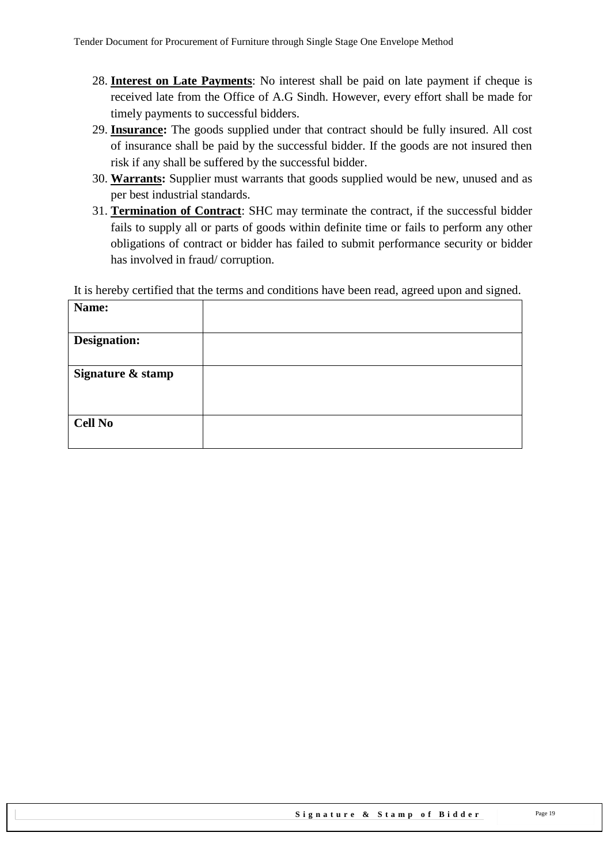- 28. **Interest on Late Payments**: No interest shall be paid on late payment if cheque is received late from the Office of A.G Sindh. However, every effort shall be made for timely payments to successful bidders.
- 29. **Insurance:** The goods supplied under that contract should be fully insured. All cost of insurance shall be paid by the successful bidder. If the goods are not insured then risk if any shall be suffered by the successful bidder.
- 30. **Warrants:** Supplier must warrants that goods supplied would be new, unused and as per best industrial standards.
- 31. **Termination of Contract**: SHC may terminate the contract, if the successful bidder fails to supply all or parts of goods within definite time or fails to perform any other obligations of contract or bidder has failed to submit performance security or bidder has involved in fraud/ corruption.

It is hereby certified that the terms and conditions have been read, agreed upon and signed.

| Name:               |  |
|---------------------|--|
| <b>Designation:</b> |  |
| Signature & stamp   |  |
| <b>Cell No</b>      |  |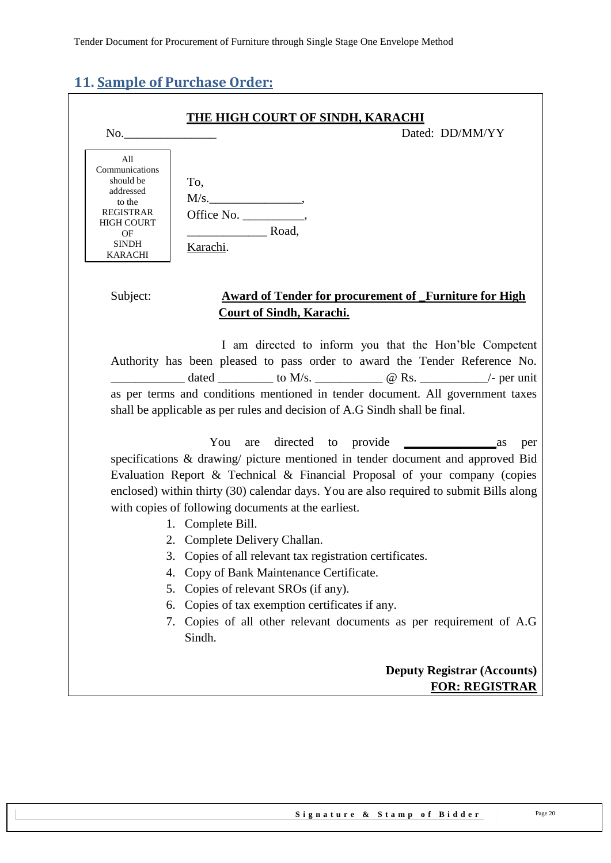# <span id="page-19-0"></span>**11. Sample of Purchase Order:**

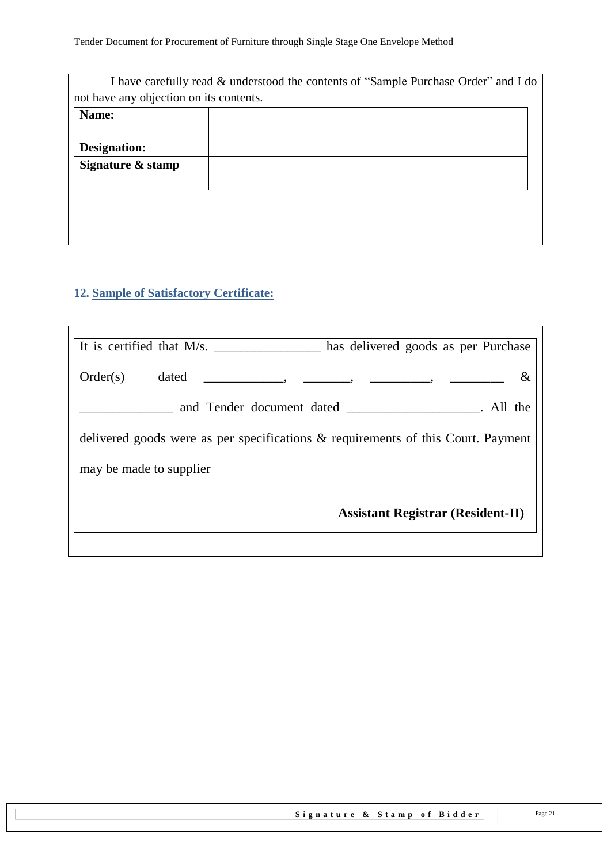|                                         | I have carefully read & understood the contents of "Sample Purchase Order" and I do |
|-----------------------------------------|-------------------------------------------------------------------------------------|
| not have any objection on its contents. |                                                                                     |
| Name:                                   |                                                                                     |
|                                         |                                                                                     |
| Designation:                            |                                                                                     |
| Signature & stamp                       |                                                                                     |
|                                         |                                                                                     |
|                                         |                                                                                     |
|                                         |                                                                                     |
|                                         |                                                                                     |

### <span id="page-20-0"></span>**12. Sample of Satisfactory Certificate:**

| It is certified that M/s.<br>has delivered goods as per Purchase                    |
|-------------------------------------------------------------------------------------|
| Order(s)<br>$\&$<br>dated                                                           |
|                                                                                     |
| delivered goods were as per specifications $\&$ requirements of this Court. Payment |
| may be made to supplier                                                             |
| <b>Assistant Registrar (Resident-II)</b>                                            |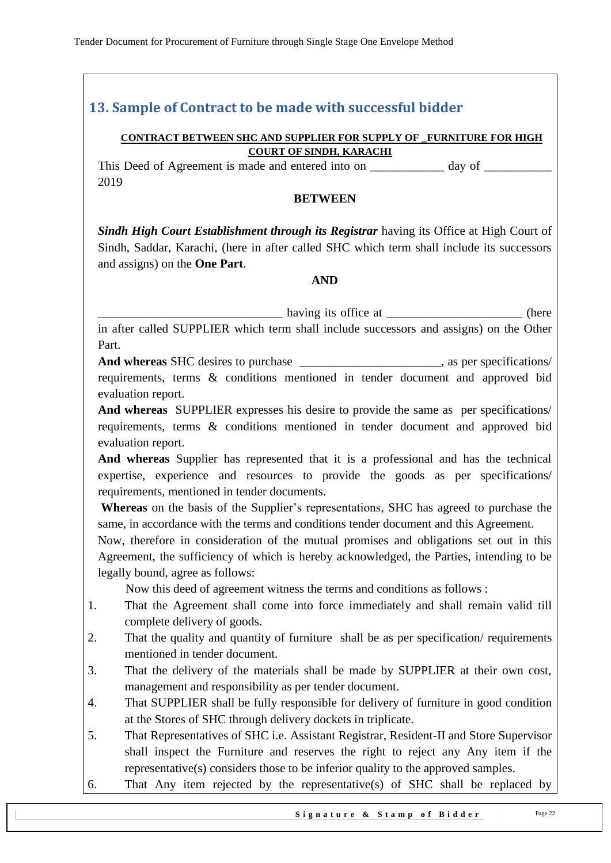# <span id="page-21-0"></span>**13. Sample of Contract to be made with successful bidder**

#### **CONTRACT BETWEEN SHC AND SUPPLIER FOR SUPPLY OF \_FURNITURE FOR HIGH COURT OF SINDH, KARACHI**

This Deed of Agreement is made and entered into on day of  $\alpha$ 2019

#### **BETWEEN**

*Sindh High Court Establishment through its Registrar having its Office at High Court of* Sindh, Saddar, Karachi, (here in after called SHC which term shall include its successors and assigns) on the **One Part**.

#### **AND**

\_\_\_\_\_\_\_\_\_\_\_\_\_\_\_\_\_\_\_\_\_\_\_\_\_\_\_\_\_\_ having its office at \_\_\_\_\_\_\_\_\_\_\_\_\_\_\_\_\_\_\_\_\_\_ (here in after called SUPPLIER which term shall include successors and assigns) on the Other Part.

And whereas SHC desires to purchase  $\blacksquare$ , as per specifications/ requirements, terms & conditions mentioned in tender document and approved bid evaluation report.

**And whereas** SUPPLIER expresses his desire to provide the same as per specifications/ requirements, terms & conditions mentioned in tender document and approved bid evaluation report.

**And whereas** Supplier has represented that it is a professional and has the technical expertise, experience and resources to provide the goods as per specifications/ requirements, mentioned in tender documents.

**Whereas** on the basis of the Supplier"s representations, SHC has agreed to purchase the same, in accordance with the terms and conditions tender document and this Agreement.

Now, therefore in consideration of the mutual promises and obligations set out in this Agreement, the sufficiency of which is hereby acknowledged, the Parties, intending to be legally bound, agree as follows:

Now this deed of agreement witness the terms and conditions as follows :

- 1. That the Agreement shall come into force immediately and shall remain valid till complete delivery of goods.
- 2. That the quality and quantity of furniture shall be as per specification/ requirements mentioned in tender document.
- 3. That the delivery of the materials shall be made by SUPPLIER at their own cost, management and responsibility as per tender document.
- 4. That SUPPLIER shall be fully responsible for delivery of furniture in good condition at the Stores of SHC through delivery dockets in triplicate.
- 5. That Representatives of SHC i.e. Assistant Registrar, Resident-II and Store Supervisor shall inspect the Furniture and reserves the right to reject any Any item if the representative(s) considers those to be inferior quality to the approved samples.
- 6. That Any item rejected by the representative(s) of SHC shall be replaced by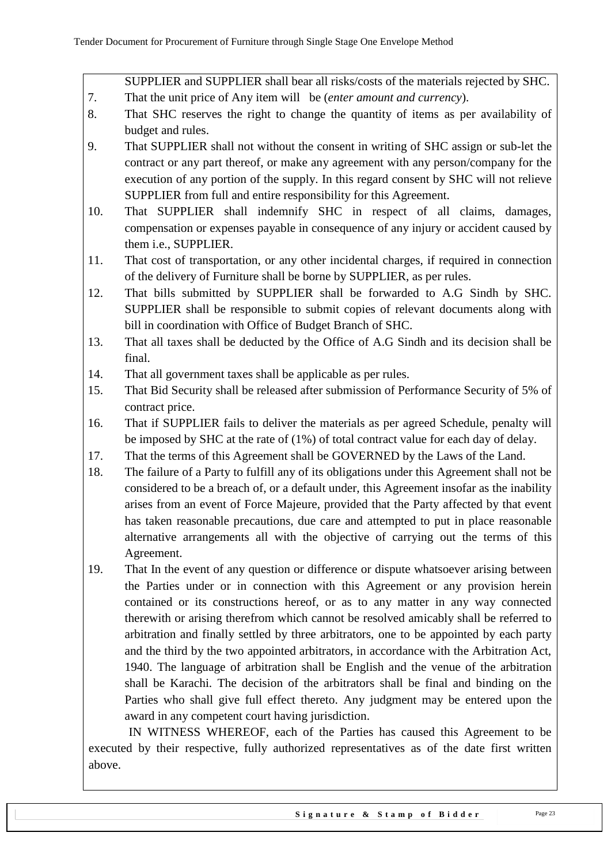SUPPLIER and SUPPLIER shall bear all risks/costs of the materials rejected by SHC.

- 7. That the unit price of Any item will be (*enter amount and currency*).
- 8. That SHC reserves the right to change the quantity of items as per availability of budget and rules.
- 9. That SUPPLIER shall not without the consent in writing of SHC assign or sub-let the contract or any part thereof, or make any agreement with any person/company for the execution of any portion of the supply. In this regard consent by SHC will not relieve SUPPLIER from full and entire responsibility for this Agreement.
- 10. That SUPPLIER shall indemnify SHC in respect of all claims, damages, compensation or expenses payable in consequence of any injury or accident caused by them i.e., SUPPLIER.
- 11. That cost of transportation, or any other incidental charges, if required in connection of the delivery of Furniture shall be borne by SUPPLIER, as per rules.
- 12. That bills submitted by SUPPLIER shall be forwarded to A.G Sindh by SHC. SUPPLIER shall be responsible to submit copies of relevant documents along with bill in coordination with Office of Budget Branch of SHC.
- 13. That all taxes shall be deducted by the Office of A.G Sindh and its decision shall be final.
- 14. That all government taxes shall be applicable as per rules.
- 15. That Bid Security shall be released after submission of Performance Security of 5% of contract price.
- 16. That if SUPPLIER fails to deliver the materials as per agreed Schedule, penalty will be imposed by SHC at the rate of (1%) of total contract value for each day of delay.
- 17. That the terms of this Agreement shall be GOVERNED by the Laws of the Land.
- 18. The failure of a Party to fulfill any of its obligations under this Agreement shall not be considered to be a breach of, or a default under, this Agreement insofar as the inability arises from an event of Force Majeure, provided that the Party affected by that event has taken reasonable precautions, due care and attempted to put in place reasonable alternative arrangements all with the objective of carrying out the terms of this Agreement.
- 19. That In the event of any question or difference or dispute whatsoever arising between the Parties under or in connection with this Agreement or any provision herein contained or its constructions hereof, or as to any matter in any way connected therewith or arising therefrom which cannot be resolved amicably shall be referred to arbitration and finally settled by three arbitrators, one to be appointed by each party and the third by the two appointed arbitrators, in accordance with the Arbitration Act, 1940. The language of arbitration shall be English and the venue of the arbitration shall be Karachi. The decision of the arbitrators shall be final and binding on the Parties who shall give full effect thereto. Any judgment may be entered upon the award in any competent court having jurisdiction.

 IN WITNESS WHEREOF, each of the Parties has caused this Agreement to be executed by their respective, fully authorized representatives as of the date first written above.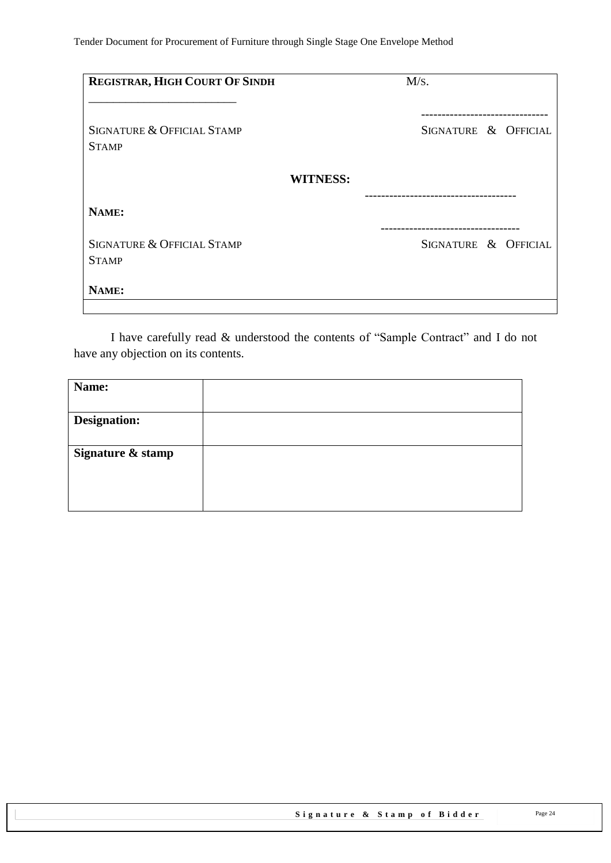| REGISTRAR, HIGH COURT OF SINDH                        | M/s.                 |
|-------------------------------------------------------|----------------------|
|                                                       |                      |
| SIGNATURE & OFFICIAL STAMP<br><b>STAMP</b>            | SIGNATURE & OFFICIAL |
|                                                       | <b>WITNESS:</b>      |
| NAME:                                                 |                      |
| <b>SIGNATURE &amp; OFFICIAL STAMP</b><br><b>STAMP</b> | SIGNATURE & OFFICIAL |
| NAME:                                                 |                      |
|                                                       |                      |

I have carefully read & understood the contents of "Sample Contract" and I do not have any objection on its contents.

| Name:               |  |
|---------------------|--|
|                     |  |
| <b>Designation:</b> |  |
| Signature & stamp   |  |
|                     |  |
|                     |  |